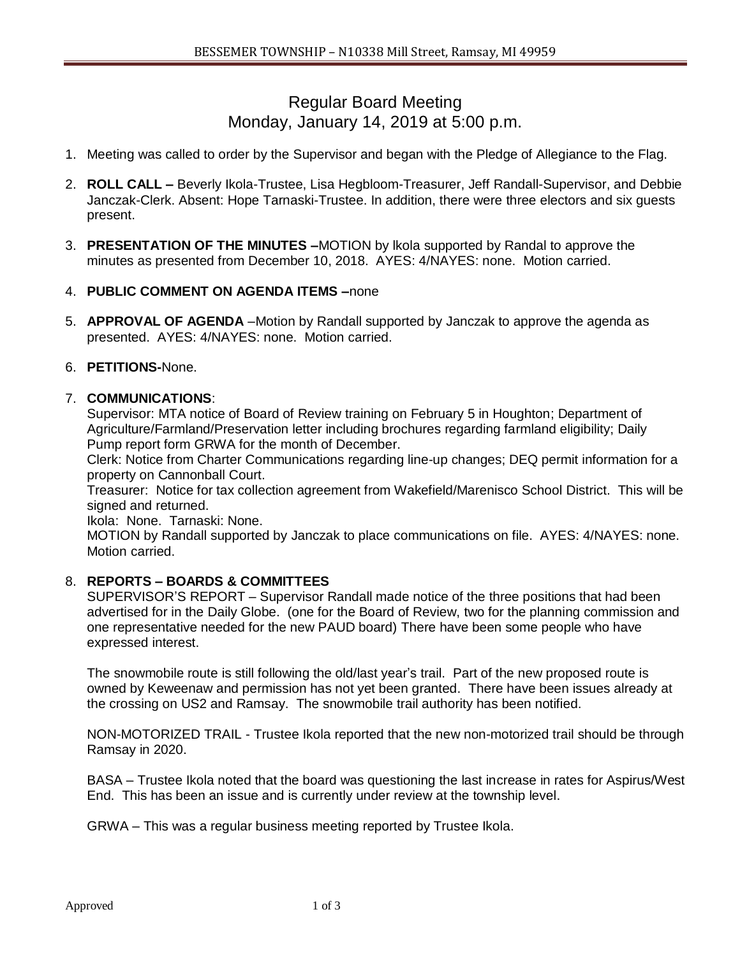# Regular Board Meeting Monday, January 14, 2019 at 5:00 p.m.

- 1. Meeting was called to order by the Supervisor and began with the Pledge of Allegiance to the Flag.
- 2. **ROLL CALL –** Beverly Ikola-Trustee, Lisa Hegbloom-Treasurer, Jeff Randall-Supervisor, and Debbie Janczak-Clerk. Absent: Hope Tarnaski-Trustee. In addition, there were three electors and six guests present.
- 3. **PRESENTATION OF THE MINUTES –**MOTION by lkola supported by Randal to approve the minutes as presented from December 10, 2018. AYES: 4/NAYES: none. Motion carried.

# 4. **PUBLIC COMMENT ON AGENDA ITEMS –**none

5. **APPROVAL OF AGENDA** –Motion by Randall supported by Janczak to approve the agenda as presented. AYES: 4/NAYES: none. Motion carried.

# 6. **PETITIONS-**None.

# 7. **COMMUNICATIONS**:

Supervisor: MTA notice of Board of Review training on February 5 in Houghton; Department of Agriculture/Farmland/Preservation letter including brochures regarding farmland eligibility; Daily Pump report form GRWA for the month of December.

Clerk: Notice from Charter Communications regarding line-up changes; DEQ permit information for a property on Cannonball Court.

Treasurer: Notice for tax collection agreement from Wakefield/Marenisco School District. This will be signed and returned.

Ikola: None. Tarnaski: None.

MOTION by Randall supported by Janczak to place communications on file. AYES: 4/NAYES: none. Motion carried.

# 8. **REPORTS – BOARDS & COMMITTEES**

SUPERVISOR'S REPORT – Supervisor Randall made notice of the three positions that had been advertised for in the Daily Globe. (one for the Board of Review, two for the planning commission and one representative needed for the new PAUD board) There have been some people who have expressed interest.

The snowmobile route is still following the old/last year's trail. Part of the new proposed route is owned by Keweenaw and permission has not yet been granted. There have been issues already at the crossing on US2 and Ramsay. The snowmobile trail authority has been notified.

NON-MOTORIZED TRAIL - Trustee Ikola reported that the new non-motorized trail should be through Ramsay in 2020.

BASA – Trustee Ikola noted that the board was questioning the last increase in rates for Aspirus/West End. This has been an issue and is currently under review at the township level.

GRWA – This was a regular business meeting reported by Trustee Ikola.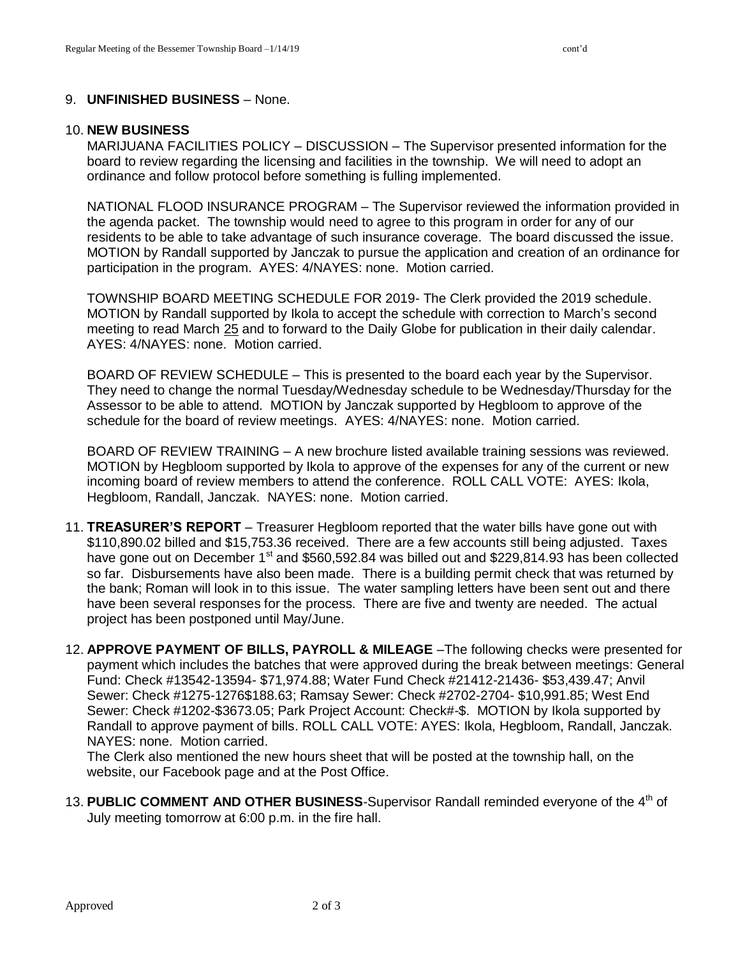## 9. **UNFINISHED BUSINESS** – None.

#### 10. **NEW BUSINESS**

MARIJUANA FACILITIES POLICY – DISCUSSION – The Supervisor presented information for the board to review regarding the licensing and facilities in the township. We will need to adopt an ordinance and follow protocol before something is fulling implemented.

NATIONAL FLOOD INSURANCE PROGRAM – The Supervisor reviewed the information provided in the agenda packet. The township would need to agree to this program in order for any of our residents to be able to take advantage of such insurance coverage. The board discussed the issue. MOTION by Randall supported by Janczak to pursue the application and creation of an ordinance for participation in the program. AYES: 4/NAYES: none. Motion carried.

TOWNSHIP BOARD MEETING SCHEDULE FOR 2019- The Clerk provided the 2019 schedule. MOTION by Randall supported by Ikola to accept the schedule with correction to March's second meeting to read March 25 and to forward to the Daily Globe for publication in their daily calendar. AYES: 4/NAYES: none. Motion carried.

BOARD OF REVIEW SCHEDULE – This is presented to the board each year by the Supervisor. They need to change the normal Tuesday/Wednesday schedule to be Wednesday/Thursday for the Assessor to be able to attend. MOTION by Janczak supported by Hegbloom to approve of the schedule for the board of review meetings. AYES: 4/NAYES: none. Motion carried.

BOARD OF REVIEW TRAINING – A new brochure listed available training sessions was reviewed. MOTION by Hegbloom supported by Ikola to approve of the expenses for any of the current or new incoming board of review members to attend the conference. ROLL CALL VOTE: AYES: Ikola, Hegbloom, Randall, Janczak. NAYES: none. Motion carried.

- 11. **TREASURER'S REPORT** Treasurer Hegbloom reported that the water bills have gone out with \$110,890.02 billed and \$15,753.36 received. There are a few accounts still being adjusted. Taxes have gone out on December 1<sup>st</sup> and \$560,592.84 was billed out and \$229,814.93 has been collected so far. Disbursements have also been made. There is a building permit check that was returned by the bank; Roman will look in to this issue. The water sampling letters have been sent out and there have been several responses for the process. There are five and twenty are needed. The actual project has been postponed until May/June.
- 12. **APPROVE PAYMENT OF BILLS, PAYROLL & MILEAGE** –The following checks were presented for payment which includes the batches that were approved during the break between meetings: General Fund: Check #13542-13594- \$71,974.88; Water Fund Check #21412-21436- \$53,439.47; Anvil Sewer: Check #1275-1276\$188.63; Ramsay Sewer: Check #2702-2704- \$10,991.85; West End Sewer: Check #1202-\$3673.05; Park Project Account: Check#-\$. MOTION by Ikola supported by Randall to approve payment of bills. ROLL CALL VOTE: AYES: Ikola, Hegbloom, Randall, Janczak. NAYES: none. Motion carried.

The Clerk also mentioned the new hours sheet that will be posted at the township hall, on the website, our Facebook page and at the Post Office.

13. PUBLIC COMMENT AND OTHER BUSINESS-Supervisor Randall reminded everyone of the 4<sup>th</sup> of July meeting tomorrow at 6:00 p.m. in the fire hall.